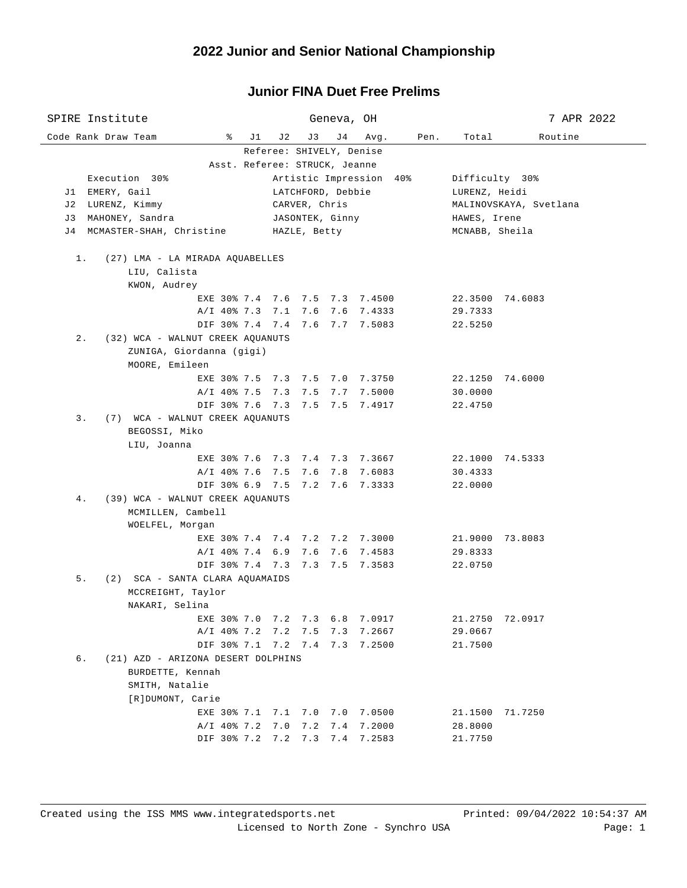| SPIRE Institute                           |                       | Geneva, OH                     |                         |                                         | 7 APR 2022 |  |
|-------------------------------------------|-----------------------|--------------------------------|-------------------------|-----------------------------------------|------------|--|
| Code Rank Draw Team<br>ိ                  | J1<br>J 2             | J3<br>J 4                      | Avg.<br>Pen.            | Total                                   | Routine    |  |
|                                           |                       | Referee: SHIVELY, Denise       |                         |                                         |            |  |
| Execution 30%                             |                       | Asst. Referee: STRUCK, Jeanne  |                         |                                         |            |  |
| J1 EMERY, Gail                            |                       | LATCHFORD, Debbie              | Artistic Impression 40% | Difficulty 30%                          |            |  |
| J2 LURENZ, Kimmy                          |                       | CARVER, Chris                  |                         | LURENZ, Heidi<br>MALINOVSKAYA, Svetlana |            |  |
| J3 MAHONEY, Sandra                        |                       | JASONTEK, Ginny                |                         | HAWES, Irene                            |            |  |
| J4 MCMASTER-SHAH, Christine               |                       | HAZLE, Betty                   |                         | MCNABB, Sheila                          |            |  |
|                                           |                       |                                |                         |                                         |            |  |
| (27) LMA - LA MIRADA AQUABELLES<br>1.     |                       |                                |                         |                                         |            |  |
| LIU, Calista                              |                       |                                |                         |                                         |            |  |
| KWON, Audrey                              |                       | EXE 30% 7.4 7.6 7.5 7.3 7.4500 |                         | 22.3500 74.6083                         |            |  |
|                                           | A/I 40% 7.3 7.1 7.6   |                                | 7.6 7.4333              | 29.7333                                 |            |  |
|                                           |                       | DIF 30% 7.4 7.4 7.6 7.7 7.5083 |                         | 22.5250                                 |            |  |
| $2$ .<br>(32) WCA - WALNUT CREEK AQUANUTS |                       |                                |                         |                                         |            |  |
| ZUNIGA, Giordanna (gigi)                  |                       |                                |                         |                                         |            |  |
| MOORE, Emileen                            |                       |                                |                         |                                         |            |  |
|                                           |                       | EXE 30% 7.5 7.3 7.5 7.0 7.3750 |                         | 22.1250 74.6000                         |            |  |
|                                           |                       | A/I 40% 7.5 7.3 7.5 7.7 7.5000 |                         | 30.0000                                 |            |  |
|                                           |                       | DIF 30% 7.6 7.3 7.5 7.5 7.4917 |                         | 22.4750                                 |            |  |
| (7) WCA - WALNUT CREEK AQUANUTS<br>3.     |                       |                                |                         |                                         |            |  |
| BEGOSSI, Miko                             |                       |                                |                         |                                         |            |  |
| LIU, Joanna                               |                       | EXE 30% 7.6 7.3 7.4 7.3 7.3667 |                         | 22.1000 74.5333                         |            |  |
|                                           |                       | A/I 40% 7.6 7.5 7.6 7.8 7.6083 |                         | 30.4333                                 |            |  |
|                                           |                       | DIF 30% 6.9 7.5 7.2 7.6 7.3333 |                         | 22.0000                                 |            |  |
| (39) WCA - WALNUT CREEK AQUANUTS<br>4.    |                       |                                |                         |                                         |            |  |
| MCMILLEN, Cambell                         |                       |                                |                         |                                         |            |  |
| WOELFEL, Morgan                           |                       |                                |                         |                                         |            |  |
|                                           |                       | EXE 30% 7.4 7.4 7.2 7.2 7.3000 |                         | 21.9000 73.8083                         |            |  |
|                                           | $A/I$ 40% 7.4 6.9 7.6 |                                | 7.6 7.4583              | 29.8333                                 |            |  |
|                                           |                       | DIF 30% 7.4 7.3 7.3 7.5 7.3583 |                         | 22.0750                                 |            |  |
| (2) SCA - SANTA CLARA AQUAMAIDS<br>5.     |                       |                                |                         |                                         |            |  |
| MCCREIGHT, Taylor<br>NAKARI, Selina       |                       |                                |                         |                                         |            |  |
| EXE 30% 7.0                               | 7.2                   | 7.3<br>6.8                     | 7.0917                  | 21.2750                                 | 72.0917    |  |
| $A/I$ 40% 7.2                             | 7.2                   | 7.5<br>7.3                     | 7.2667                  | 29.0667                                 |            |  |
| DIF 30% 7.1                               | 7.2                   | 7.4<br>7.3                     | 7.2500                  | 21.7500                                 |            |  |
| б.<br>(21) AZD - ARIZONA DESERT DOLPHINS  |                       |                                |                         |                                         |            |  |
| BURDETTE, Kennah                          |                       |                                |                         |                                         |            |  |
| SMITH, Natalie                            |                       |                                |                         |                                         |            |  |
| [R]DUMONT, Carie                          |                       |                                |                         |                                         |            |  |
|                                           | EXE 30% 7.1 7.1       | 7.0<br>7.0                     | 7.0500                  | 21.1500                                 | 71.7250    |  |
| $A/I$ 40% 7.2                             | 7.0                   | 7.2<br>7.4                     | 7.2000                  | 28.8000                                 |            |  |
| DIF 30% 7.2                               |                       | 7.2 7.3<br>7.4                 | 7.2583                  | 21.7750                                 |            |  |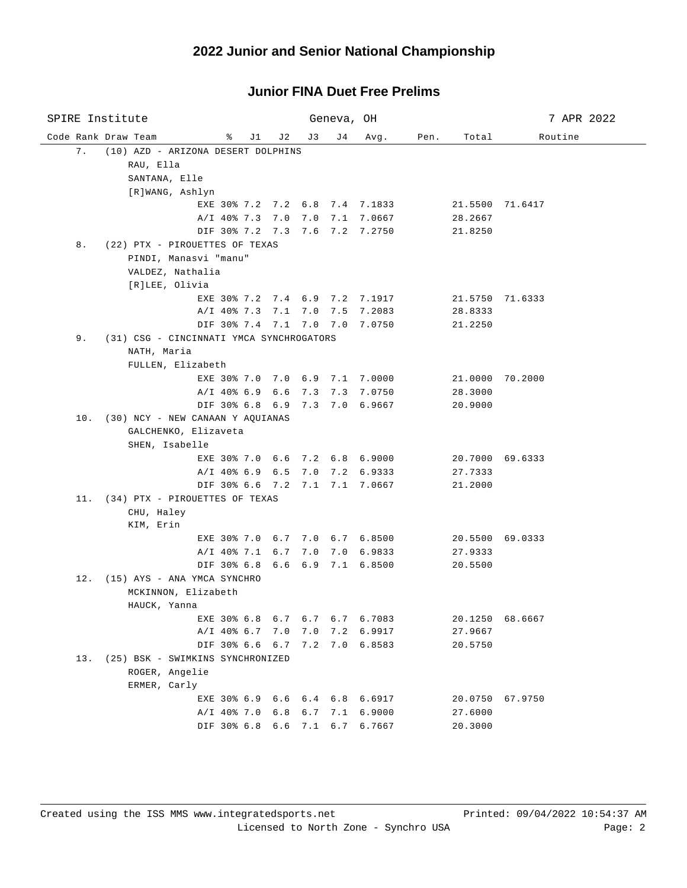| SPIRE Institute                                |                                |     |         | Geneva, OH |                                |      |         | 7 APR 2022      |
|------------------------------------------------|--------------------------------|-----|---------|------------|--------------------------------|------|---------|-----------------|
| Code Rank Draw Team                            | ိ<br>J1                        | J 2 | J 3     | J 4        | Avg.                           | Pen. | Total   | Routine         |
| (10) AZD - ARIZONA DESERT DOLPHINS<br>7.       |                                |     |         |            |                                |      |         |                 |
| RAU, Ella                                      |                                |     |         |            |                                |      |         |                 |
| SANTANA, Elle                                  |                                |     |         |            |                                |      |         |                 |
| [R]WANG, Ashlyn                                |                                |     |         |            |                                |      |         |                 |
|                                                | EXE 30% 7.2 7.2 6.8 7.4 7.1833 |     |         |            |                                |      |         | 21.5500 71.6417 |
|                                                | A/I 40% 7.3 7.0 7.0            |     |         |            | 7.1 7.0667                     |      | 28.2667 |                 |
|                                                | DIF 30% 7.2 7.3 7.6 7.2 7.2750 |     |         |            |                                |      | 21.8250 |                 |
| 8.<br>(22) PTX - PIROUETTES OF TEXAS           |                                |     |         |            |                                |      |         |                 |
| PINDI, Manasvi "manu"                          |                                |     |         |            |                                |      |         |                 |
| VALDEZ, Nathalia                               |                                |     |         |            |                                |      |         |                 |
| [R]LEE, Olivia                                 |                                |     |         |            |                                |      |         |                 |
|                                                | EXE 30% 7.2 7.4 6.9 7.2 7.1917 |     |         |            |                                |      |         | 21.5750 71.6333 |
|                                                |                                |     |         |            | A/I 40% 7.3 7.1 7.0 7.5 7.2083 |      | 28.8333 |                 |
|                                                |                                |     |         |            | DIF 30% 7.4 7.1 7.0 7.0 7.0750 |      | 21.2250 |                 |
| (31) CSG - CINCINNATI YMCA SYNCHROGATORS<br>9. |                                |     |         |            |                                |      |         |                 |
| NATH, Maria                                    |                                |     |         |            |                                |      |         |                 |
| FULLEN, Elizabeth                              |                                |     |         |            |                                |      |         |                 |
|                                                |                                |     |         |            | EXE 30% 7.0 7.0 6.9 7.1 7.0000 |      |         | 21.0000 70.2000 |
|                                                |                                |     |         |            | A/I 40% 6.9 6.6 7.3 7.3 7.0750 |      | 28.3000 |                 |
|                                                | DIF 30% 6.8 6.9                |     |         |            | 7.3 7.0 6.9667                 |      | 20.9000 |                 |
| 10. (30) NCY - NEW CANAAN Y AQUIANAS           |                                |     |         |            |                                |      |         |                 |
| GALCHENKO, Elizaveta                           |                                |     |         |            |                                |      |         |                 |
| SHEN, Isabelle                                 |                                |     |         |            |                                |      |         |                 |
|                                                | EXE 30% 7.0 6.6 7.2 6.8 6.9000 |     |         |            |                                |      |         | 20.7000 69.6333 |
|                                                | A/I 40% 6.9 6.5                |     |         |            | 7.0 7.2 6.9333                 |      | 27.7333 |                 |
|                                                | DIF 30% 6.6 7.2 7.1 7.1 7.0667 |     |         |            |                                |      | 21.2000 |                 |
| 11. (34) PTX - PIROUETTES OF TEXAS             |                                |     |         |            |                                |      |         |                 |
| CHU, Haley                                     |                                |     |         |            |                                |      |         |                 |
| KIM, Erin                                      |                                |     |         |            |                                |      |         |                 |
|                                                | EXE 30% 7.0 6.7 7.0 6.7 6.8500 |     |         |            |                                |      |         | 20.5500 69.0333 |
|                                                | $A/I$ 40% 7.1 6.7              |     | 7.0     |            | 7.0 6.9833                     |      | 27.9333 |                 |
|                                                | DIF 30% 6.8 6.6 6.9 7.1 6.8500 |     |         |            |                                |      | 20.5500 |                 |
| 12. (15) AYS - ANA YMCA SYNCHRO                |                                |     |         |            |                                |      |         |                 |
| MCKINNON, Elizabeth                            |                                |     |         |            |                                |      |         |                 |
| HAUCK, Yanna                                   |                                |     |         |            |                                |      |         |                 |
|                                                | EXE 30% 6.8 6.7 6.7 6.7 6.7083 |     |         |            |                                |      | 20.1250 | 68.6667         |
|                                                | A/I 40% 6.7 7.0                |     | 7.0 7.2 |            | 6.9917                         |      | 27.9667 |                 |
|                                                | DIF 30% 6.6 6.7                |     |         |            | 7.2 7.0 6.8583                 |      | 20.5750 |                 |
| 13. (25) BSK - SWIMKINS SYNCHRONIZED           |                                |     |         |            |                                |      |         |                 |
| ROGER, Angelie                                 |                                |     |         |            |                                |      |         |                 |
| ERMER, Carly                                   |                                |     |         |            |                                |      |         |                 |
|                                                | EXE 30% 6.9 6.6 6.4 6.8 6.6917 |     |         |            |                                |      |         | 20.0750 67.9750 |
|                                                | $A/I$ 40% 7.0 6.8 6.7          |     |         | 7.1        | 6.9000                         |      | 27.6000 |                 |
|                                                | DIF 30% 6.8 6.6 7.1 6.7        |     |         |            | 6.7667                         |      | 20.3000 |                 |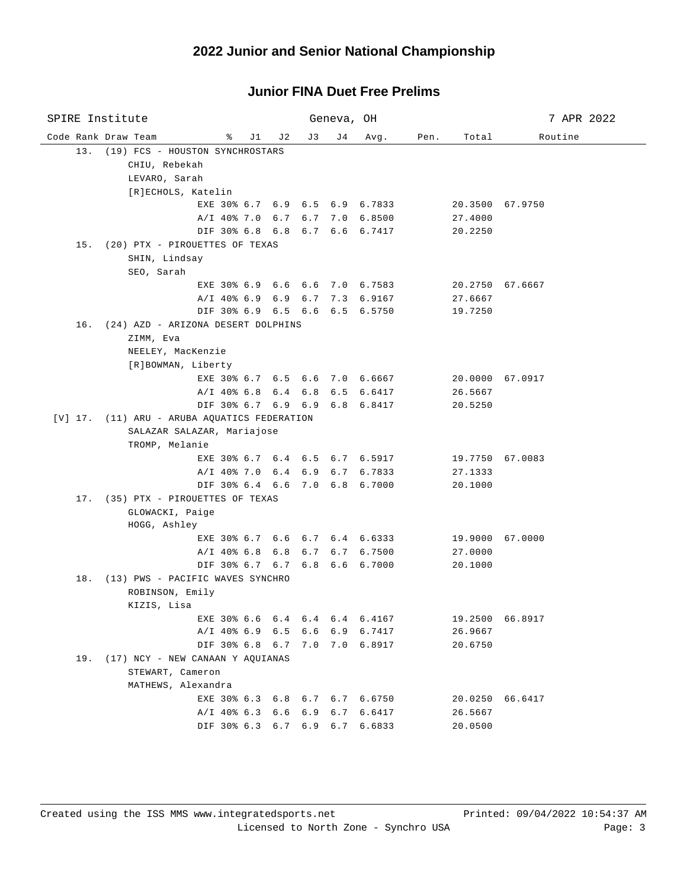| SPIRE Institute                              |            |     | Geneva, OH |                |      |                 | 7 APR 2022      |
|----------------------------------------------|------------|-----|------------|----------------|------|-----------------|-----------------|
| Code Rank Draw Team<br>ိ                     | J 1<br>J 2 | J3  | J 4        | Avg.           | Pen. | Total           | Routine         |
| 13. (19) FCS - HOUSTON SYNCHROSTARS          |            |     |            |                |      |                 |                 |
| CHIU, Rebekah                                |            |     |            |                |      |                 |                 |
| LEVARO, Sarah                                |            |     |            |                |      |                 |                 |
| [R]ECHOLS, Katelin                           |            |     |            |                |      |                 |                 |
| EXE 30% 6.7 6.9 6.5 6.9 6.7833               |            |     |            |                |      |                 | 20.3500 67.9750 |
| A/I 40% 7.0 6.7 6.7 7.0 6.8500               |            |     |            |                |      | 27.4000         |                 |
| DIF 30% 6.8 6.8 6.7 6.6 6.7417               |            |     |            |                |      | 20.2250         |                 |
| 15. (20) PTX - PIROUETTES OF TEXAS           |            |     |            |                |      |                 |                 |
| SHIN, Lindsay                                |            |     |            |                |      |                 |                 |
| SEO, Sarah                                   |            |     |            |                |      |                 |                 |
| EXE 30% 6.9 6.6 6.6 7.0 6.7583               |            |     |            |                |      |                 | 20.2750 67.6667 |
| A/I 40% 6.9 6.9 6.7 7.3 6.9167               |            |     |            |                |      | 27.6667         |                 |
| DIF 30% 6.9 6.5 6.6                          |            |     |            | 6.5 6.5750     |      | 19.7250         |                 |
| 16. (24) AZD - ARIZONA DESERT DOLPHINS       |            |     |            |                |      |                 |                 |
| ZIMM, Eva                                    |            |     |            |                |      |                 |                 |
| NEELEY, MacKenzie                            |            |     |            |                |      |                 |                 |
| [R]BOWMAN, Liberty                           |            |     |            |                |      |                 |                 |
| EXE 30% 6.7 6.5 6.6 7.0 6.6667               |            |     |            |                |      |                 | 20.0000 67.0917 |
| $A/I$ 40% 6.8 6.4 6.8                        |            |     | 6.5        | 6.6417         |      | 26.5667         |                 |
| DIF 30% 6.7 6.9 6.9                          |            |     |            | 6.8 6.8417     |      | 20.5250         |                 |
| [V] 17. (11) ARU - ARUBA AQUATICS FEDERATION |            |     |            |                |      |                 |                 |
| SALAZAR SALAZAR, Mariajose                   |            |     |            |                |      |                 |                 |
| TROMP, Melanie                               |            |     |            |                |      |                 |                 |
| EXE 30% 6.7 6.4 6.5 6.7 6.5917               |            |     |            |                |      |                 | 19.7750 67.0083 |
| A/I 40% 7.0 6.4 6.9 6.7 6.7833               |            |     |            |                |      | 27.1333         |                 |
| DIF 30% 6.4 6.6 7.0 6.8 6.7000               |            |     |            |                |      | 20.1000         |                 |
| 17. (35) PTX - PIROUETTES OF TEXAS           |            |     |            |                |      |                 |                 |
| GLOWACKI, Paige                              |            |     |            |                |      |                 |                 |
| HOGG, Ashley                                 |            |     |            |                |      |                 |                 |
| EXE 30% 6.7 6.6 6.7 6.4 6.6333               |            |     |            |                |      | 19.9000 67.0000 |                 |
| A/I 40% 6.8 6.8                              |            | 6.7 |            | 6.7 6.7500     |      | 27.0000         |                 |
| DIF 30% 6.7 6.7 6.8 6.6 6.7000               |            |     |            |                |      | 20.1000         |                 |
| 18. (13) PWS - PACIFIC WAVES SYNCHRO         |            |     |            |                |      |                 |                 |
| ROBINSON, Emily                              |            |     |            |                |      |                 |                 |
| KIZIS, Lisa                                  |            |     |            |                |      |                 |                 |
| EXE 30% 6.6 6.4                              |            | 6.4 | 6.4        | 6.4167         |      | 19.2500         | 66.8917         |
| $A/I$ 40% 6.9 6.5                            |            |     |            | 6.6 6.9 6.7417 |      | 26.9667         |                 |
| DIF 30% 6.8 6.7                              |            |     |            | 7.0 7.0 6.8917 |      | 20.6750         |                 |
| 19. (17) NCY - NEW CANAAN Y AOUIANAS         |            |     |            |                |      |                 |                 |
| STEWART, Cameron                             |            |     |            |                |      |                 |                 |
| MATHEWS, Alexandra                           |            |     |            |                |      |                 |                 |
| EXE 30% 6.3 6.8 6.7 6.7 6.6750               |            |     |            |                |      |                 | 20.0250 66.6417 |
| $A/I$ 40% 6.3 6.6 6.9                        |            |     | 6.7        | 6.6417         |      | 26.5667         |                 |
| DIF 30% 6.3 6.7 6.9 6.7                      |            |     |            | 6.6833         |      | 20.0500         |                 |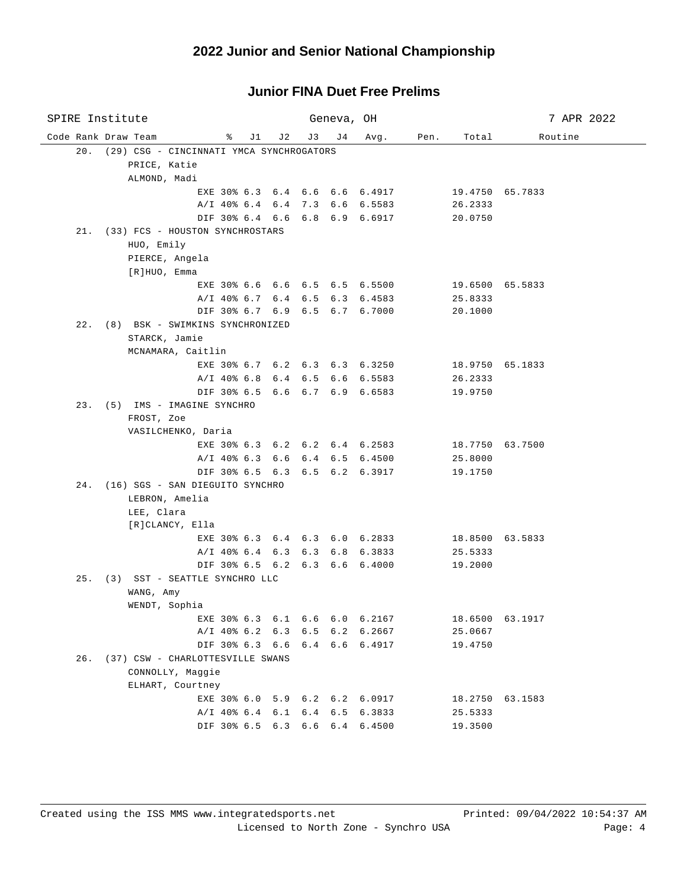| SPIRE Institute                                                  |            | Geneva, OH |      |      |                 | 7 APR 2022      |
|------------------------------------------------------------------|------------|------------|------|------|-----------------|-----------------|
| Code Rank Draw Team<br>ိ<br>J1                                   | J 2<br>J 3 | J 4        | Avg. | Pen. | Total           | Routine         |
| 20. (29) CSG - CINCINNATI YMCA SYNCHROGATORS                     |            |            |      |      |                 |                 |
| PRICE, Katie                                                     |            |            |      |      |                 |                 |
| ALMOND, Madi                                                     |            |            |      |      |                 |                 |
| EXE 30% 6.3 6.4 6.6 6.6 6.4917                                   |            |            |      |      | 19.4750 65.7833 |                 |
| A/I 40% 6.4 6.4 7.3 6.6 6.5583                                   |            |            |      |      | 26.2333         |                 |
| DIF 30% 6.4 6.6 6.8 6.9 6.6917                                   |            |            |      |      | 20.0750         |                 |
| 21. (33) FCS - HOUSTON SYNCHROSTARS                              |            |            |      |      |                 |                 |
| HUO, Emily                                                       |            |            |      |      |                 |                 |
| PIERCE, Angela                                                   |            |            |      |      |                 |                 |
| [R]HUO, Emma                                                     |            |            |      |      |                 |                 |
| EXE 30% 6.6 6.6 6.5 6.5 6.5500                                   |            |            |      |      |                 | 19.6500 65.5833 |
| A/I 40% 6.7 6.4 6.5 6.3 6.4583                                   |            |            |      |      | 25.8333         |                 |
| DIF 30% 6.7 6.9 6.5 6.7 6.7000                                   |            |            |      |      | 20.1000         |                 |
| 22. (8) BSK - SWIMKINS SYNCHRONIZED                              |            |            |      |      |                 |                 |
| STARCK, Jamie                                                    |            |            |      |      |                 |                 |
| MCNAMARA, Caitlin                                                |            |            |      |      |                 |                 |
| EXE 30% 6.7 6.2 6.3 6.3 6.3250                                   |            |            |      |      | 18.9750 65.1833 |                 |
| A/I 40% 6.8 6.4 6.5 6.6 6.5583<br>DIF 30% 6.5 6.6 6.7 6.9 6.6583 |            |            |      |      | 26.2333         |                 |
| 23. (5) IMS - IMAGINE SYNCHRO                                    |            |            |      |      | 19.9750         |                 |
| FROST, Zoe                                                       |            |            |      |      |                 |                 |
| VASILCHENKO, Daria                                               |            |            |      |      |                 |                 |
| EXE 30% 6.3 6.2 6.2 6.4 6.2583                                   |            |            |      |      |                 | 18.7750 63.7500 |
| A/I 40% 6.3 6.6 6.4 6.5 6.4500                                   |            |            |      |      | 25.8000         |                 |
| DIF 30% 6.5 6.3 6.5 6.2 6.3917                                   |            |            |      |      | 19.1750         |                 |
| 24. (16) SGS - SAN DIEGUITO SYNCHRO                              |            |            |      |      |                 |                 |
| LEBRON, Amelia                                                   |            |            |      |      |                 |                 |
| LEE, Clara                                                       |            |            |      |      |                 |                 |
| [R]CLANCY, Ella                                                  |            |            |      |      |                 |                 |
| EXE 30% 6.3 6.4 6.3 6.0 6.2833                                   |            |            |      |      | 18.8500 63.5833 |                 |
| A/I 40% 6.4 6.3 6.3 6.8 6.3833                                   |            |            |      |      | 25.5333         |                 |
| DIF 30% 6.5 6.2 6.3 6.6 6.4000                                   |            |            |      |      | 19.2000         |                 |
| 25. (3) SST - SEATTLE SYNCHRO LLC                                |            |            |      |      |                 |                 |
| WANG, Amy                                                        |            |            |      |      |                 |                 |
| WENDT, Sophia                                                    |            |            |      |      |                 |                 |
| EXE 30% 6.3 6.1 6.6 6.0 6.2167                                   |            |            |      |      |                 | 18.6500 63.1917 |
| A/I 40% 6.2 6.3 6.5 6.2 6.2667                                   |            |            |      |      | 25.0667         |                 |
| DIF 30% 6.3 6.6 6.4 6.6 6.4917                                   |            |            |      |      | 19.4750         |                 |
| 26. (37) CSW - CHARLOTTESVILLE SWANS                             |            |            |      |      |                 |                 |
| CONNOLLY, Maggie                                                 |            |            |      |      |                 |                 |
| ELHART, Courtney                                                 |            |            |      |      |                 |                 |
| EXE 30% 6.0 5.9 6.2 6.2 6.0917                                   |            |            |      |      |                 | 18.2750 63.1583 |
| A/I 40% 6.4 6.1 6.4 6.5 6.3833                                   |            |            |      |      | 25.5333         |                 |
| DIF 30% 6.5 6.3 6.6 6.4 6.4500                                   |            |            |      |      | 19.3500         |                 |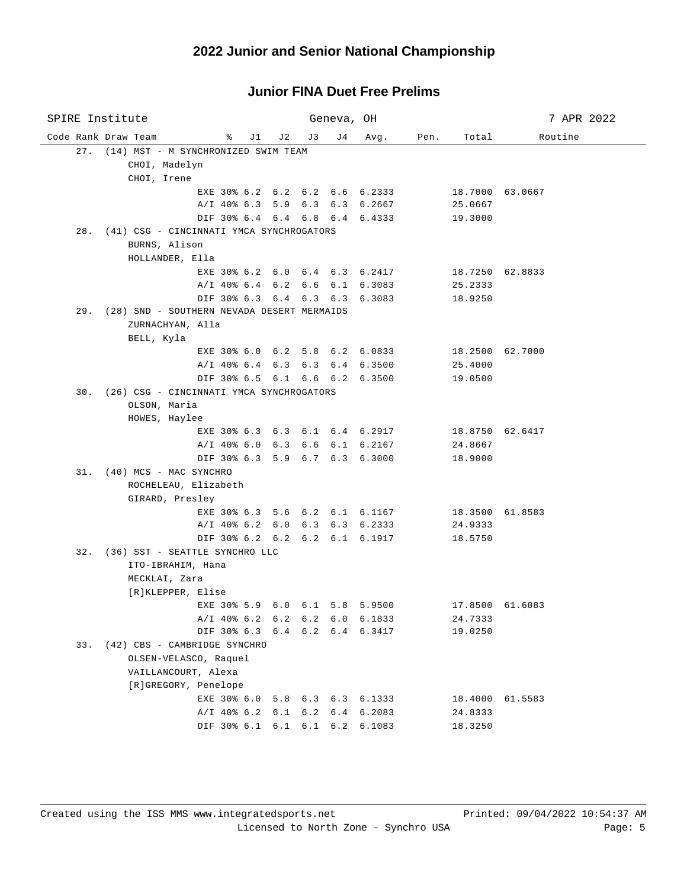| SPIRE Institute     |                                                |                                |     |     | Geneva, OH |                                |      |                 | 7 APR 2022      |
|---------------------|------------------------------------------------|--------------------------------|-----|-----|------------|--------------------------------|------|-----------------|-----------------|
| Code Rank Draw Team |                                                | ိ<br>J1 J                      | J 2 | J 3 | J 4        | Avg.                           | Pen. | Total           | Routine         |
|                     | 27. (14) MST - M SYNCHRONIZED SWIM TEAM        |                                |     |     |            |                                |      |                 |                 |
|                     | CHOI, Madelyn                                  |                                |     |     |            |                                |      |                 |                 |
|                     | CHOI, Irene                                    |                                |     |     |            |                                |      |                 |                 |
|                     |                                                | EXE 30% 6.2 6.2 6.2 6.6 6.2333 |     |     |            |                                |      |                 | 18.7000 63.0667 |
|                     |                                                |                                |     |     |            | A/I 40% 6.3 5.9 6.3 6.3 6.2667 |      | 25.0667         |                 |
|                     |                                                | DIF 30% 6.4 6.4 6.8 6.4 6.4333 |     |     |            |                                |      | 19.3000         |                 |
|                     | 28. (41) CSG - CINCINNATI YMCA SYNCHROGATORS   |                                |     |     |            |                                |      |                 |                 |
|                     | BURNS, Alison                                  |                                |     |     |            |                                |      |                 |                 |
|                     | HOLLANDER, Ella                                |                                |     |     |            |                                |      |                 |                 |
|                     |                                                |                                |     |     |            | EXE 30% 6.2 6.0 6.4 6.3 6.2417 |      | 18.7250 62.8833 |                 |
|                     |                                                | A/I 40% 6.4 6.2 6.6 6.1 6.3083 |     |     |            |                                |      | 25.2333         |                 |
|                     |                                                | DIF 30% 6.3 6.4 6.3 6.3 6.3083 |     |     |            |                                |      | 18.9250         |                 |
|                     | 29. (28) SND - SOUTHERN NEVADA DESERT MERMAIDS |                                |     |     |            |                                |      |                 |                 |
|                     | ZURNACHYAN, Alla                               |                                |     |     |            |                                |      |                 |                 |
|                     | BELL, Kyla                                     |                                |     |     |            |                                |      |                 |                 |
|                     |                                                |                                |     |     |            | EXE 30% 6.0 6.2 5.8 6.2 6.0833 |      | 18.2500 62.7000 |                 |
|                     |                                                |                                |     |     |            | A/I 40% 6.4 6.3 6.3 6.4 6.3500 |      | 25.4000         |                 |
|                     |                                                | DIF 30% 6.5 6.1 6.6 6.2 6.3500 |     |     |            |                                |      | 19.0500         |                 |
|                     | 30. (26) CSG - CINCINNATI YMCA SYNCHROGATORS   |                                |     |     |            |                                |      |                 |                 |
|                     | OLSON, Maria                                   |                                |     |     |            |                                |      |                 |                 |
|                     | HOWES, Haylee                                  |                                |     |     |            |                                |      |                 |                 |
|                     |                                                |                                |     |     |            | EXE 30% 6.3 6.3 6.1 6.4 6.2917 |      | 18.8750 62.6417 |                 |
|                     |                                                |                                |     |     |            | A/I 40% 6.0 6.3 6.6 6.1 6.2167 |      | 24.8667         |                 |
|                     |                                                | DIF 30% 6.3 5.9 6.7 6.3 6.3000 |     |     |            |                                |      | 18.9000         |                 |
|                     | 31. (40) MCS - MAC SYNCHRO                     |                                |     |     |            |                                |      |                 |                 |
|                     | ROCHELEAU, Elizabeth                           |                                |     |     |            |                                |      |                 |                 |
|                     | GIRARD, Presley                                |                                |     |     |            |                                |      |                 |                 |
|                     |                                                |                                |     |     |            | EXE 30% 6.3 5.6 6.2 6.1 6.1167 |      |                 | 18.3500 61.8583 |
|                     |                                                |                                |     |     |            | A/I 40% 6.2 6.0 6.3 6.3 6.2333 |      | 24.9333         |                 |
|                     |                                                |                                |     |     |            | DIF 30% 6.2 6.2 6.2 6.1 6.1917 |      | 18.5750         |                 |
|                     | 32. (36) SST - SEATTLE SYNCHRO LLC             |                                |     |     |            |                                |      |                 |                 |
|                     | ITO-IBRAHIM, Hana                              |                                |     |     |            |                                |      |                 |                 |
|                     | MECKLAI, Zara                                  |                                |     |     |            |                                |      |                 |                 |
|                     | [R]KLEPPER, Elise                              |                                |     |     |            |                                |      |                 |                 |
|                     |                                                | EXE 30% 5.9 6.0 6.1 5.8 5.9500 |     |     |            |                                |      | 17.8500 61.6083 |                 |
|                     |                                                | A/I 40% 6.2 6.2 6.2 6.0 6.1833 |     |     |            |                                |      | 24.7333         |                 |
|                     |                                                | DIF 30% 6.3 6.4 6.2 6.4 6.3417 |     |     |            |                                |      | 19.0250         |                 |
| 33.                 | (42) CBS - CAMBRIDGE SYNCHRO                   |                                |     |     |            |                                |      |                 |                 |
|                     | OLSEN-VELASCO, Raquel                          |                                |     |     |            |                                |      |                 |                 |
|                     | VAILLANCOURT, Alexa                            |                                |     |     |            |                                |      |                 |                 |
|                     | [R]GREGORY, Penelope                           |                                |     |     |            |                                |      |                 |                 |
|                     |                                                | EXE 30% 6.0 5.8 6.3 6.3 6.1333 |     |     |            |                                |      |                 | 18.4000 61.5583 |
|                     |                                                | A/I 40% 6.2 6.1 6.2            |     |     | 6.4        | 6.2083                         |      | 24.8333         |                 |
|                     |                                                | DIF 30% 6.1 6.1 6.1 6.2        |     |     |            | 6.1083                         |      | 18.3250         |                 |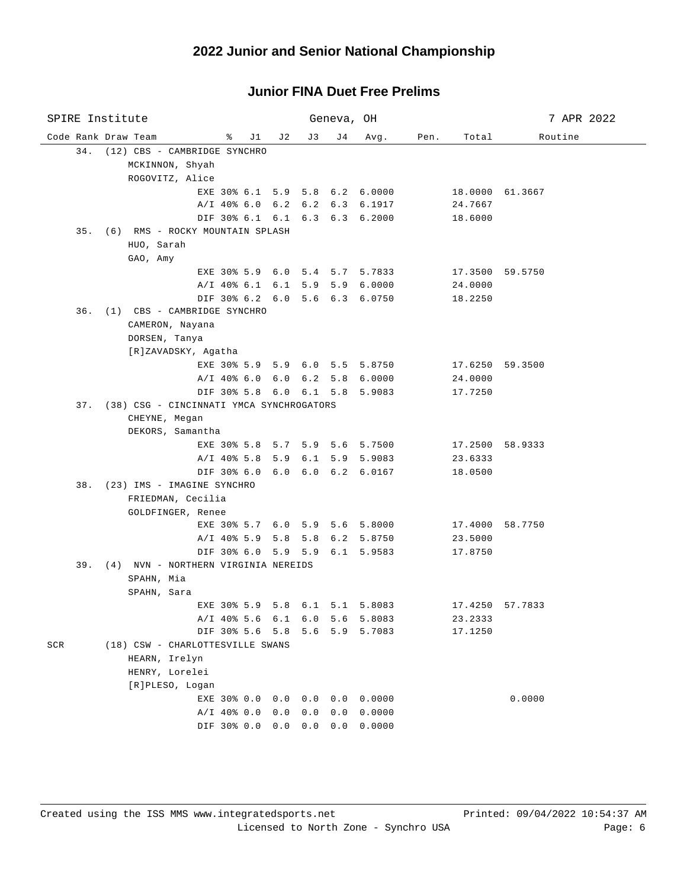| SPIRE Institute                                       |       |                     | Geneva, OH |                  |      |                    | 7 APR 2022      |
|-------------------------------------------------------|-------|---------------------|------------|------------------|------|--------------------|-----------------|
| Code Rank Draw Team<br>ိ                              | J1 J2 | J 3                 | J 4        | Avg.             | Pen. | Total              | Routine         |
| 34. (12) CBS - CAMBRIDGE SYNCHRO                      |       |                     |            |                  |      |                    |                 |
| MCKINNON, Shyah                                       |       |                     |            |                  |      |                    |                 |
| ROGOVITZ, Alice                                       |       |                     |            |                  |      |                    |                 |
| EXE 30% 6.1 5.9 5.8 6.2 6.0000                        |       |                     |            |                  |      | 18.0000 61.3667    |                 |
| A/I 40% 6.0 6.2 6.2 6.3 6.1917                        |       |                     |            |                  |      | 24.7667            |                 |
| DIF 30% 6.1 6.1 6.3 6.3 6.2000                        |       |                     |            |                  |      | 18.6000            |                 |
| 35. (6) RMS - ROCKY MOUNTAIN SPLASH                   |       |                     |            |                  |      |                    |                 |
| HUO, Sarah                                            |       |                     |            |                  |      |                    |                 |
| GAO, Amy                                              |       |                     |            |                  |      |                    |                 |
| EXE 30% 5.9 6.0 5.4 5.7 5.7833                        |       |                     |            |                  |      | 17.3500 59.5750    |                 |
| A/I 40% 6.1 6.1 5.9 5.9 6.0000                        |       |                     |            |                  |      | 24.0000            |                 |
| DIF 30% 6.2 6.0 5.6 6.3 6.0750                        |       |                     |            |                  |      | 18.2250            |                 |
| 36. (1) CBS - CAMBRIDGE SYNCHRO                       |       |                     |            |                  |      |                    |                 |
| CAMERON, Nayana                                       |       |                     |            |                  |      |                    |                 |
| DORSEN, Tanya                                         |       |                     |            |                  |      |                    |                 |
| [R]ZAVADSKY, Agatha                                   |       |                     |            |                  |      |                    |                 |
| EXE 30% 5.9 5.9 6.0 5.5 5.8750                        |       |                     |            |                  |      |                    | 17.6250 59.3500 |
| A/I 40% 6.0 6.0 6.2 5.8 6.0000                        |       |                     |            |                  |      | 24.0000            |                 |
| DIF 30% 5.8 6.0 6.1 5.8 5.9083                        |       |                     |            |                  |      | 17.7250            |                 |
| 37. (38) CSG - CINCINNATI YMCA SYNCHROGATORS          |       |                     |            |                  |      |                    |                 |
| CHEYNE, Megan                                         |       |                     |            |                  |      |                    |                 |
| DEKORS, Samantha                                      |       |                     |            |                  |      |                    |                 |
| EXE 30% 5.8 5.7 5.9 5.6 5.7500                        |       |                     |            |                  |      | 17.2500 58.9333    |                 |
| A/I 40% 5.8 5.9 6.1 5.9 5.9083                        |       |                     |            |                  |      | 23.6333            |                 |
| DIF 30% 6.0 6.0 6.0 6.2 6.0167                        |       |                     |            |                  |      | 18.0500            |                 |
| 38. (23) IMS - IMAGINE SYNCHRO                        |       |                     |            |                  |      |                    |                 |
| FRIEDMAN, Cecilia                                     |       |                     |            |                  |      |                    |                 |
| GOLDFINGER, Renee                                     |       |                     |            |                  |      |                    |                 |
| EXE 30% 5.7 6.0 5.9 5.6 5.8000                        |       |                     |            |                  |      |                    | 17.4000 58.7750 |
| $A/I$ 40% 5.9 5.8 5.8                                 |       |                     | 6.2        | 5.8750           |      | 23.5000            |                 |
| DIF 30% 6.0 5.9 5.9 6.1 5.9583                        |       |                     |            |                  |      | 17.8750            |                 |
| 39. (4) NVN - NORTHERN VIRGINIA NEREIDS<br>SPAHN, Mia |       |                     |            |                  |      |                    |                 |
| SPAHN, Sara                                           |       |                     |            |                  |      |                    |                 |
| EXE 30% 5.9 5.8 6.1 5.1 5.8083 17.4250 57.7833        |       |                     |            |                  |      |                    |                 |
|                                                       |       |                     |            |                  |      |                    |                 |
| $A/I$ 40% 5.6 6.1<br>DIF 30% 5.6 5.8                  |       | 6.0<br>5.6          | 5.6<br>5.9 | 5.8083<br>5.7083 |      | 23.2333<br>17.1250 |                 |
| (18) CSW - CHARLOTTESVILLE SWANS<br>SCR               |       |                     |            |                  |      |                    |                 |
| HEARN, Irelyn                                         |       |                     |            |                  |      |                    |                 |
| HENRY, Lorelei                                        |       |                     |            |                  |      |                    |                 |
| [R]PLESO, Logan                                       |       |                     |            |                  |      |                    |                 |
| EXE 30% 0.0                                           | 0.0   | 0.0                 | 0.0        | 0.0000           |      |                    | 0.0000          |
| $A/I$ 40% 0.0                                         | 0.0   | 0.0                 | 0.0        | 0.0000           |      |                    |                 |
| DIF 30% 0.0                                           |       | $0.0 \t 0.0 \t 0.0$ |            | 0.0000           |      |                    |                 |